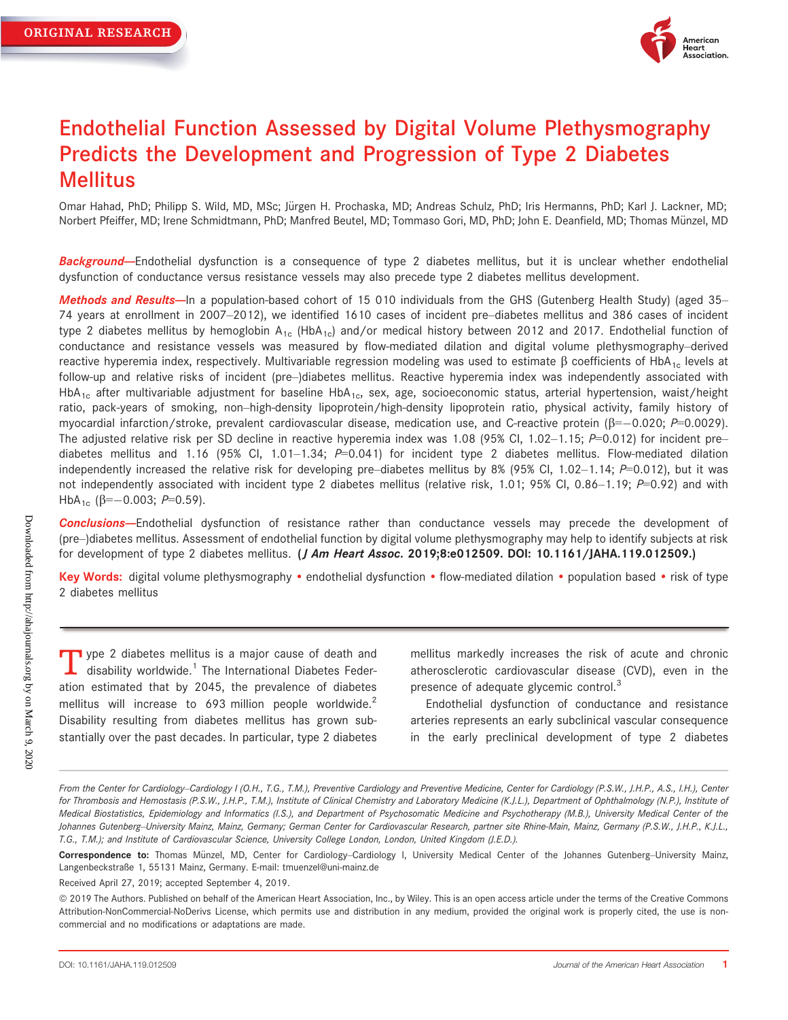

# Endothelial Function Assessed by Digital Volume Plethysmography Predicts the Development and Progression of Type 2 Diabetes **Mellitus**

Omar Hahad, PhD; Philipp S. Wild, MD, MSc; Jürgen H. Prochaska, MD; Andreas Schulz, PhD; Iris Hermanns, PhD; Karl J. Lackner, MD; Norbert Pfeiffer, MD; Irene Schmidtmann, PhD; Manfred Beutel, MD; Tommaso Gori, MD, PhD; John E. Deanfield, MD; Thomas Münzel, MD

Background-Endothelial dysfunction is a consequence of type 2 diabetes mellitus, but it is unclear whether endothelial dysfunction of conductance versus resistance vessels may also precede type 2 diabetes mellitus development.

Methods and Results-In a population-based cohort of 15 010 individuals from the GHS (Gutenberg Health Study) (aged 35-74 years at enrollment in 2007–2012), we identified 1610 cases of incident pre–diabetes mellitus and 386 cases of incident type 2 diabetes mellitus by hemoglobin  $A_{1c}$  (HbA<sub>1c</sub>) and/or medical history between 2012 and 2017. Endothelial function of conductance and resistance vessels was measured by flow-mediated dilation and digital volume plethysmography–derived reactive hyperemia index, respectively. Multivariable regression modeling was used to estimate  $\beta$  coefficients of HbA<sub>1c</sub> levels at follow-up and relative risks of incident (pre–)diabetes mellitus. Reactive hyperemia index was independently associated with HbA<sub>1c</sub> after multivariable adjustment for baseline HbA<sub>1c</sub>, sex, age, socioeconomic status, arterial hypertension, waist/height ratio, pack-years of smoking, non–high-density lipoprotein/high-density lipoprotein ratio, physical activity, family history of myocardial infarction/stroke, prevalent cardiovascular disease, medication use, and C-reactive protein ( $\beta = -0.020$ ;  $P = 0.0029$ ). The adjusted relative risk per SD decline in reactive hyperemia index was 1.08 (95% CI, 1.02–1.15;  $P=0.012$ ) for incident pre– diabetes mellitus and 1.16 (95% Cl, 1.01–1.34;  $P=0.041$ ) for incident type 2 diabetes mellitus. Flow-mediated dilation independently increased the relative risk for developing pre–diabetes mellitus by 8% (95% Cl, 1.02–1.14;  $P=0.012$ ), but it was not independently associated with incident type 2 diabetes mellitus (relative risk, 1.01; 95% CI, 0.86–1.19;  $P=0.92$ ) and with HbA<sub>1c</sub> ( $\beta$ =-0.003; P=0.59).

Conclusions--Endothelial dysfunction of resistance rather than conductance vessels may precede the development of (pre–)diabetes mellitus. Assessment of endothelial function by digital volume plethysmography may help to identify subjects at risk for development of type 2 diabetes mellitus. (*J Am Heart Assoc.* 2019;8:e012509. DOI: [10.1161/JAHA.119.012509](info:doi/10.1161/JAHA.119.012509).)

Key Words: digital volume plethysmography • endothelial dysfunction • flow-mediated dilation • population based • risk of type 2 diabetes mellitus

 $\blacksquare$  ype 2 diabetes mellitus is a major cause of death and  $\blacktriangle$  disability worldwide.<sup>1</sup> The International Diabetes Federation estimated that by 2045, the prevalence of diabetes mellitus will increase to 693 million people worldwide. $2^2$ Disability resulting from diabetes mellitus has grown substantially over the past decades. In particular, type 2 diabetes mellitus markedly increases the risk of acute and chronic atherosclerotic cardiovascular disease (CVD), even in the presence of adequate glycemic control.<sup>3</sup>

Endothelial dysfunction of conductance and resistance arteries represents an early subclinical vascular consequence in the early preclinical development of type 2 diabetes

Received April 27, 2019; accepted September 4, 2019.

From the Center for Cardiology-Cardiology I (O.H., T.G., T.M.), Preventive Cardiology and Preventive Medicine, Center for Cardiology (P.S.W., J.H.P., A.S., I.H.), Center for Thrombosis and Hemostasis (P.S.W., J.H.P., T.M.), Institute of Clinical Chemistry and Laboratory Medicine (K.J.L.), Department of Ophthalmology (N.P.), Institute of Medical Biostatistics, Epidemiology and Informatics (I.S.), and Department of Psychosomatic Medicine and Psychotherapy (M.B.), University Medical Center of the Johannes Gutenberg–University Mainz, Mainz, Germany; German Center for Cardiovascular Research, partner site Rhine-Main, Mainz, Germany (P.S.W., J.H.P., K.J.L., T.G., T.M.); and Institute of Cardiovascular Science, University College London, London, United Kingdom (J.E.D.).

Correspondence to: Thomas Münzel, MD, Center for Cardiology–Cardiology I, University Medical Center of the Johannes Gutenberg–University Mainz, Langenbeckstraße 1, 55131 Mainz, Germany. E-mail: [tmuenzel@uni-mainz.de](mailto:tmuenzel@uni-mainz.de)

ª 2019 The Authors. Published on behalf of the American Heart Association, Inc., by Wiley. This is an open access article under the terms of the [Creative Commons](http://creativecommons.org/licenses/by-nc-nd/4.0/) [Attribution-NonCommercial-NoDerivs](http://creativecommons.org/licenses/by-nc-nd/4.0/) License, which permits use and distribution in any medium, provided the original work is properly cited, the use is noncommercial and no modifications or adaptations are made.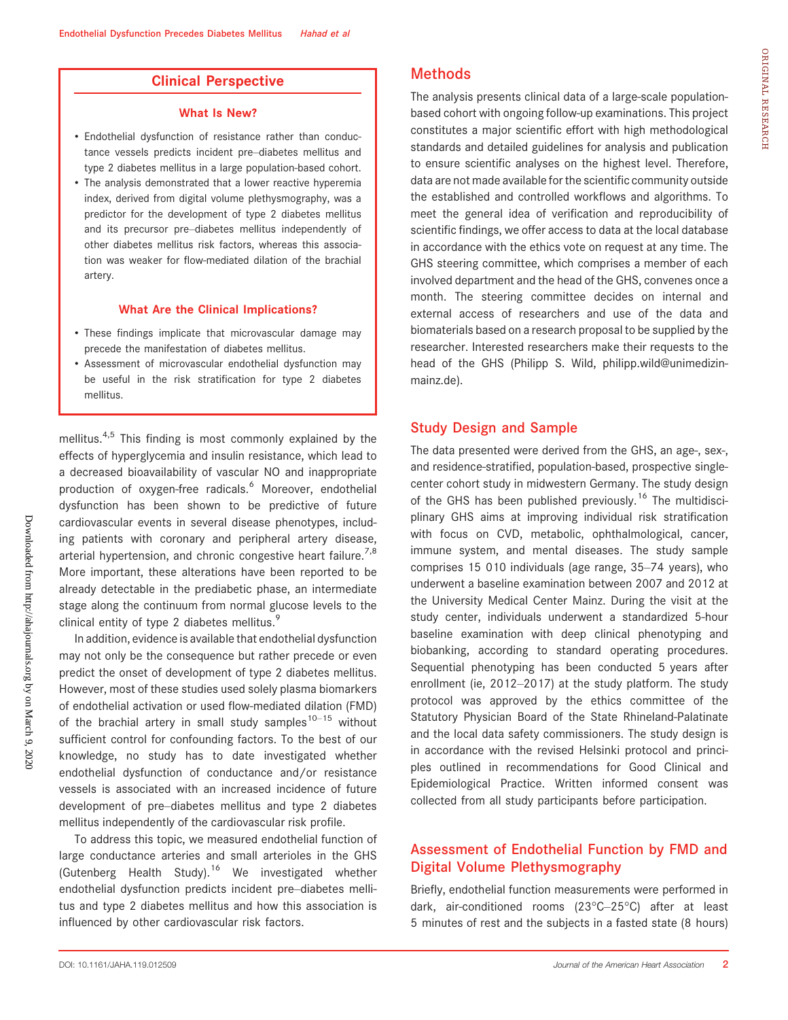### Clinical Perspective

#### What Is New?

- Endothelial dysfunction of resistance rather than conductance vessels predicts incident pre–diabetes mellitus and type 2 diabetes mellitus in a large population-based cohort.
- The analysis demonstrated that a lower reactive hyperemia index, derived from digital volume plethysmography, was a predictor for the development of type 2 diabetes mellitus and its precursor pre–diabetes mellitus independently of other diabetes mellitus risk factors, whereas this association was weaker for flow-mediated dilation of the brachial artery.

#### What Are the Clinical Implications?

- These findings implicate that microvascular damage may precede the manifestation of diabetes mellitus.
- Assessment of microvascular endothelial dysfunction may be useful in the risk stratification for type 2 diabetes mellitus.

mellitus.<sup>4,5</sup> This finding is most commonly explained by the effects of hyperglycemia and insulin resistance, which lead to a decreased bioavailability of vascular NO and inappropriate production of oxygen-free radicals.<sup>6</sup> Moreover, endothelial dysfunction has been shown to be predictive of future cardiovascular events in several disease phenotypes, including patients with coronary and peripheral artery disease, arterial hypertension, and chronic congestive heart failure.<sup>7,8</sup> More important, these alterations have been reported to be already detectable in the prediabetic phase, an intermediate stage along the continuum from normal glucose levels to the clinical entity of type 2 diabetes mellitus.<sup>9</sup>

In addition, evidence is available that endothelial dysfunction may not only be the consequence but rather precede or even predict the onset of development of type 2 diabetes mellitus. However, most of these studies used solely plasma biomarkers of endothelial activation or used flow-mediated dilation (FMD) of the brachial artery in small study samples<sup>10–15</sup> without sufficient control for confounding factors. To the best of our knowledge, no study has to date investigated whether endothelial dysfunction of conductance and/or resistance vessels is associated with an increased incidence of future development of pre–diabetes mellitus and type 2 diabetes mellitus independently of the cardiovascular risk profile.

To address this topic, we measured endothelial function of large conductance arteries and small arterioles in the GHS (Gutenberg Health Study).<sup>16</sup> We investigated whether endothelial dysfunction predicts incident pre–diabetes mellitus and type 2 diabetes mellitus and how this association is influenced by other cardiovascular risk factors.

# Methods

The analysis presents clinical data of a large-scale populationbased cohort with ongoing follow-up examinations. This project constitutes a major scientific effort with high methodological standards and detailed guidelines for analysis and publication to ensure scientific analyses on the highest level. Therefore, data are not made available for the scientific community outside the established and controlled workflows and algorithms. To meet the general idea of verification and reproducibility of scientific findings, we offer access to data at the local database in accordance with the ethics vote on request at any time. The GHS steering committee, which comprises a member of each involved department and the head of the GHS, convenes once a month. The steering committee decides on internal and external access of researchers and use of the data and biomaterials based on a research proposal to be supplied by the researcher. Interested researchers make their requests to the head of the GHS (Philipp S. Wild, [philipp.wild@unimedizin](mailto:philipp.wild@unimedizin-mainz.de)[mainz.de\)](mailto:philipp.wild@unimedizin-mainz.de).

#### Study Design and Sample

The data presented were derived from the GHS, an age-, sex-, and residence-stratified, population-based, prospective singlecenter cohort study in midwestern Germany. The study design of the GHS has been published previously.<sup>16</sup> The multidisciplinary GHS aims at improving individual risk stratification with focus on CVD, metabolic, ophthalmological, cancer, immune system, and mental diseases. The study sample comprises 15 010 individuals (age range, 35–74 years), who underwent a baseline examination between 2007 and 2012 at the University Medical Center Mainz. During the visit at the study center, individuals underwent a standardized 5-hour baseline examination with deep clinical phenotyping and biobanking, according to standard operating procedures. Sequential phenotyping has been conducted 5 years after enrollment (ie, 2012–2017) at the study platform. The study protocol was approved by the ethics committee of the Statutory Physician Board of the State Rhineland-Palatinate and the local data safety commissioners. The study design is in accordance with the revised Helsinki protocol and principles outlined in recommendations for Good Clinical and Epidemiological Practice. Written informed consent was collected from all study participants before participation.

# Assessment of Endothelial Function by FMD and Digital Volume Plethysmography

Briefly, endothelial function measurements were performed in dark, air-conditioned rooms (23°C–25°C) after at least 5 minutes of rest and the subjects in a fasted state (8 hours)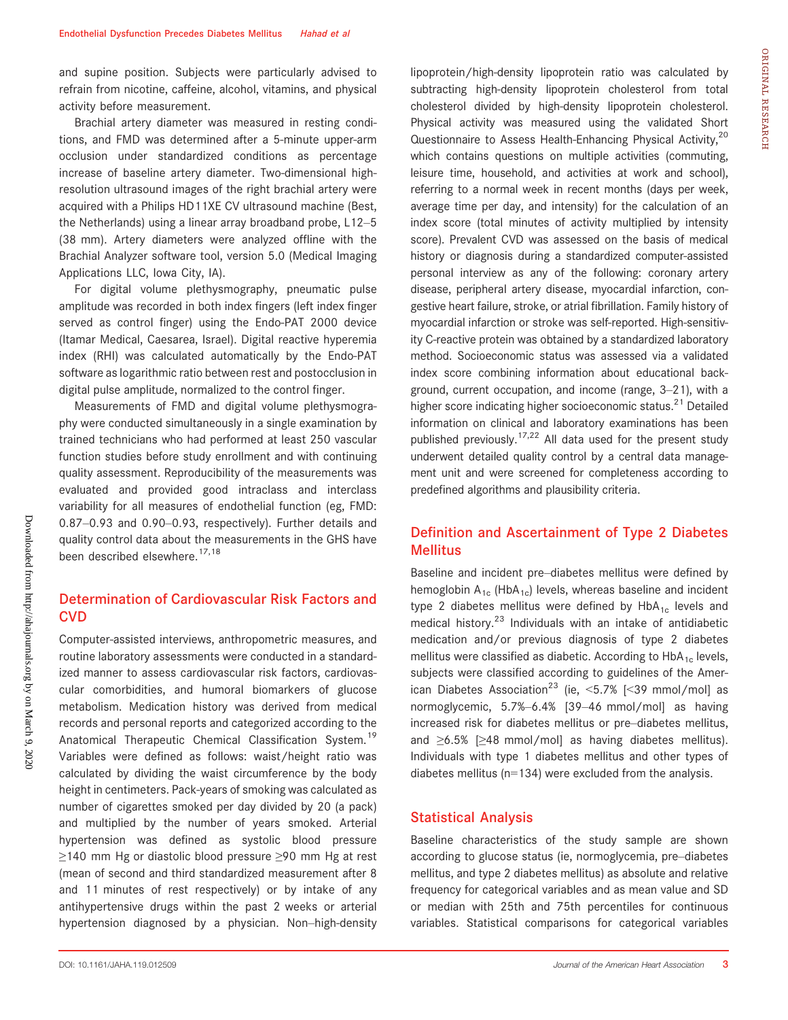and supine position. Subjects were particularly advised to refrain from nicotine, caffeine, alcohol, vitamins, and physical activity before measurement.

Brachial artery diameter was measured in resting conditions, and FMD was determined after a 5-minute upper-arm occlusion under standardized conditions as percentage increase of baseline artery diameter. Two-dimensional highresolution ultrasound images of the right brachial artery were acquired with a Philips HD11XE CV ultrasound machine (Best, the Netherlands) using a linear array broadband probe, L12–5 (38 mm). Artery diameters were analyzed offline with the Brachial Analyzer software tool, version 5.0 (Medical Imaging Applications LLC, Iowa City, IA).

For digital volume plethysmography, pneumatic pulse amplitude was recorded in both index fingers (left index finger served as control finger) using the Endo-PAT 2000 device (Itamar Medical, Caesarea, Israel). Digital reactive hyperemia index (RHI) was calculated automatically by the Endo-PAT software as logarithmic ratio between rest and postocclusion in digital pulse amplitude, normalized to the control finger.

Measurements of FMD and digital volume plethysmography were conducted simultaneously in a single examination by trained technicians who had performed at least 250 vascular function studies before study enrollment and with continuing quality assessment. Reproducibility of the measurements was evaluated and provided good intraclass and interclass variability for all measures of endothelial function (eg, FMD: 0.87–0.93 and 0.90–0.93, respectively). Further details and quality control data about the measurements in the GHS have been described elsewhere.<sup>17,18</sup>

## Determination of Cardiovascular Risk Factors and **CVD**

Computer-assisted interviews, anthropometric measures, and routine laboratory assessments were conducted in a standardized manner to assess cardiovascular risk factors, cardiovascular comorbidities, and humoral biomarkers of glucose metabolism. Medication history was derived from medical records and personal reports and categorized according to the Anatomical Therapeutic Chemical Classification System.<sup>19</sup> Variables were defined as follows: waist/height ratio was calculated by dividing the waist circumference by the body height in centimeters. Pack-years of smoking was calculated as number of cigarettes smoked per day divided by 20 (a pack) and multiplied by the number of years smoked. Arterial hypertension was defined as systolic blood pressure ≥140 mm Hg or diastolic blood pressure ≥90 mm Hg at rest (mean of second and third standardized measurement after 8 and 11 minutes of rest respectively) or by intake of any antihypertensive drugs within the past 2 weeks or arterial hypertension diagnosed by a physician. Non–high-density lipoprotein/high-density lipoprotein ratio was calculated by subtracting high-density lipoprotein cholesterol from total cholesterol divided by high-density lipoprotein cholesterol. Physical activity was measured using the validated Short Questionnaire to Assess Health-Enhancing Physical Activity,<sup>20</sup> which contains questions on multiple activities (commuting, leisure time, household, and activities at work and school), referring to a normal week in recent months (days per week, average time per day, and intensity) for the calculation of an index score (total minutes of activity multiplied by intensity score). Prevalent CVD was assessed on the basis of medical history or diagnosis during a standardized computer-assisted personal interview as any of the following: coronary artery disease, peripheral artery disease, myocardial infarction, congestive heart failure, stroke, or atrial fibrillation. Family history of myocardial infarction or stroke was self-reported. High-sensitivity C-reactive protein was obtained by a standardized laboratory method. Socioeconomic status was assessed via a validated index score combining information about educational background, current occupation, and income (range, 3–21), with a higher score indicating higher socioeconomic status.<sup>21</sup> Detailed information on clinical and laboratory examinations has been published previously.<sup>17,22</sup> All data used for the present study underwent detailed quality control by a central data management unit and were screened for completeness according to predefined algorithms and plausibility criteria.

# Definition and Ascertainment of Type 2 Diabetes Mellitus

Baseline and incident pre–diabetes mellitus were defined by hemoglobin  $A_{1c}$  (HbA<sub>1c</sub>) levels, whereas baseline and incident type 2 diabetes mellitus were defined by  $HbA_{1c}$  levels and medical history.<sup>23</sup> Individuals with an intake of antidiabetic medication and/or previous diagnosis of type 2 diabetes mellitus were classified as diabetic. According to  $HDA_{1c}$  levels, subjects were classified according to guidelines of the American Diabetes Association<sup>23</sup> (ie, <5.7% [<39 mmol/mol] as normoglycemic, 5.7%–6.4% [39–46 mmol/mol] as having increased risk for diabetes mellitus or pre–diabetes mellitus, and ≥6.5% [≥48 mmol/mol] as having diabetes mellitus). Individuals with type 1 diabetes mellitus and other types of diabetes mellitus (n=134) were excluded from the analysis.

### Statistical Analysis

Baseline characteristics of the study sample are shown according to glucose status (ie, normoglycemia, pre–diabetes mellitus, and type 2 diabetes mellitus) as absolute and relative frequency for categorical variables and as mean value and SD or median with 25th and 75th percentiles for continuous variables. Statistical comparisons for categorical variables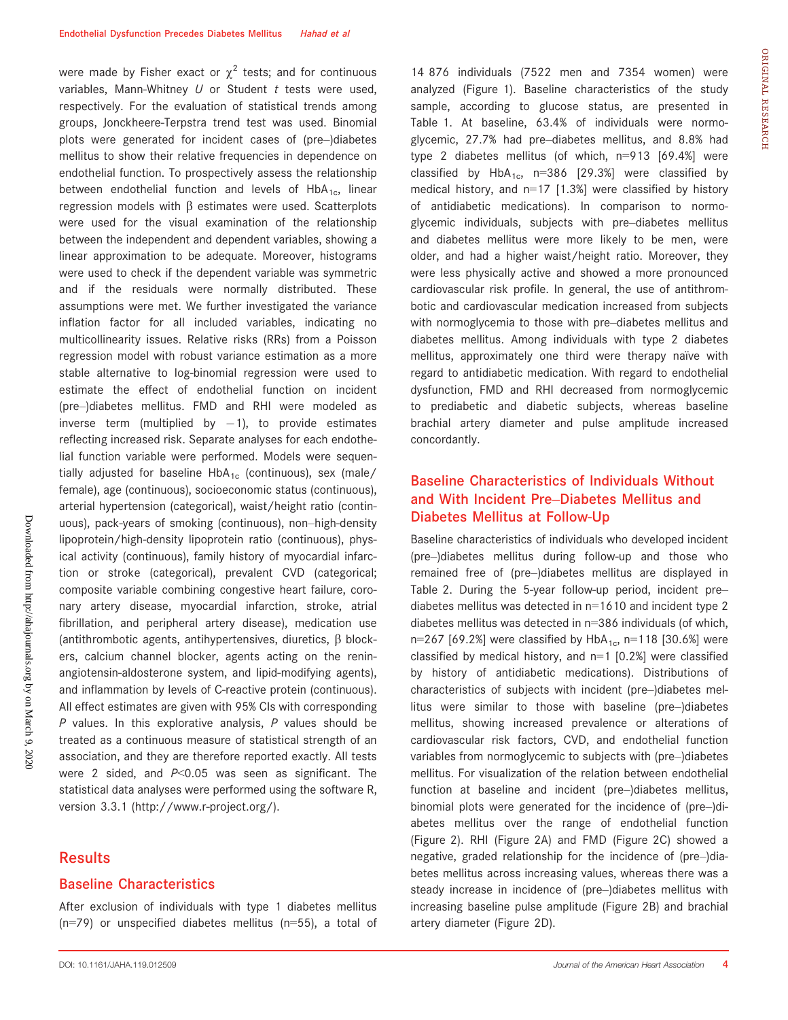were made by Fisher exact or  $\chi^2$  tests; and for continuous variables, Mann-Whitney  $U$  or Student  $t$  tests were used, respectively. For the evaluation of statistical trends among groups, Jonckheere-Terpstra trend test was used. Binomial plots were generated for incident cases of (pre–)diabetes mellitus to show their relative frequencies in dependence on endothelial function. To prospectively assess the relationship between endothelial function and levels of  $HbA_{1c}$ , linear regression models with  $\beta$  estimates were used. Scatterplots were used for the visual examination of the relationship between the independent and dependent variables, showing a linear approximation to be adequate. Moreover, histograms were used to check if the dependent variable was symmetric and if the residuals were normally distributed. These assumptions were met. We further investigated the variance inflation factor for all included variables, indicating no multicollinearity issues. Relative risks (RRs) from a Poisson regression model with robust variance estimation as a more stable alternative to log-binomial regression were used to estimate the effect of endothelial function on incident (pre–)diabetes mellitus. FMD and RHI were modeled as inverse term (multiplied by  $-1$ ), to provide estimates reflecting increased risk. Separate analyses for each endothelial function variable were performed. Models were sequentially adjusted for baseline HbA<sub>1c</sub> (continuous), sex (male/ female), age (continuous), socioeconomic status (continuous), arterial hypertension (categorical), waist/height ratio (continuous), pack-years of smoking (continuous), non–high-density lipoprotein/high-density lipoprotein ratio (continuous), physical activity (continuous), family history of myocardial infarction or stroke (categorical), prevalent CVD (categorical; composite variable combining congestive heart failure, coronary artery disease, myocardial infarction, stroke, atrial fibrillation, and peripheral artery disease), medication use (antithrombotic agents, antihypertensives, diuretics,  $\beta$  blockers, calcium channel blocker, agents acting on the reninangiotensin-aldosterone system, and lipid-modifying agents), and inflammation by levels of C-reactive protein (continuous). All effect estimates are given with 95% CIs with corresponding  $P$  values. In this explorative analysis,  $P$  values should be treated as a continuous measure of statistical strength of an association, and they are therefore reported exactly. All tests were 2 sided, and  $P<0.05$  was seen as significant. The statistical data analyses were performed using the software R, version 3.3.1 (<http://www.r-project.org/>).

### **Results**

#### Baseline Characteristics

After exclusion of individuals with type 1 diabetes mellitus (n=79) or unspecified diabetes mellitus (n=55), a total of

DOI: 10.1161/JAHA.119.012509 **4** Journal of the American Heart Association **4** 

14 876 individuals (7522 men and 7354 women) were analyzed (Figure 1). Baseline characteristics of the study sample, according to glucose status, are presented in Table 1. At baseline, 63.4% of individuals were normoglycemic, 27.7% had pre–diabetes mellitus, and 8.8% had type 2 diabetes mellitus (of which, n=913 [69.4%] were classified by  $HbA_{1c}$ , n=386 [29.3%] were classified by medical history, and  $n=17$  [1.3%] were classified by history of antidiabetic medications). In comparison to normoglycemic individuals, subjects with pre–diabetes mellitus and diabetes mellitus were more likely to be men, were older, and had a higher waist/height ratio. Moreover, they were less physically active and showed a more pronounced cardiovascular risk profile. In general, the use of antithrombotic and cardiovascular medication increased from subjects with normoglycemia to those with pre–diabetes mellitus and diabetes mellitus. Among individuals with type 2 diabetes mellitus, approximately one third were therapy naïve with regard to antidiabetic medication. With regard to endothelial dysfunction, FMD and RHI decreased from normoglycemic to prediabetic and diabetic subjects, whereas baseline brachial artery diameter and pulse amplitude increased concordantly.

# Baseline Characteristics of Individuals Without and With Incident Pre–Diabetes Mellitus and Diabetes Mellitus at Follow-Up

Baseline characteristics of individuals who developed incident (pre–)diabetes mellitus during follow-up and those who remained free of (pre–)diabetes mellitus are displayed in Table 2. During the 5-year follow-up period, incident pre– diabetes mellitus was detected in n=1610 and incident type 2 diabetes mellitus was detected in n=386 individuals (of which, n=267 [69.2%] were classified by  $HbA_{1c}$ , n=118 [30.6%] were classified by medical history, and  $n=1$  [0.2%] were classified by history of antidiabetic medications). Distributions of characteristics of subjects with incident (pre–)diabetes mellitus were similar to those with baseline (pre–)diabetes mellitus, showing increased prevalence or alterations of cardiovascular risk factors, CVD, and endothelial function variables from normoglycemic to subjects with (pre–)diabetes mellitus. For visualization of the relation between endothelial function at baseline and incident (pre–)diabetes mellitus, binomial plots were generated for the incidence of (pre–)diabetes mellitus over the range of endothelial function (Figure 2). RHI (Figure 2A) and FMD (Figure 2C) showed a negative, graded relationship for the incidence of (pre–)diabetes mellitus across increasing values, whereas there was a steady increase in incidence of (pre–)diabetes mellitus with increasing baseline pulse amplitude (Figure 2B) and brachial artery diameter (Figure 2D).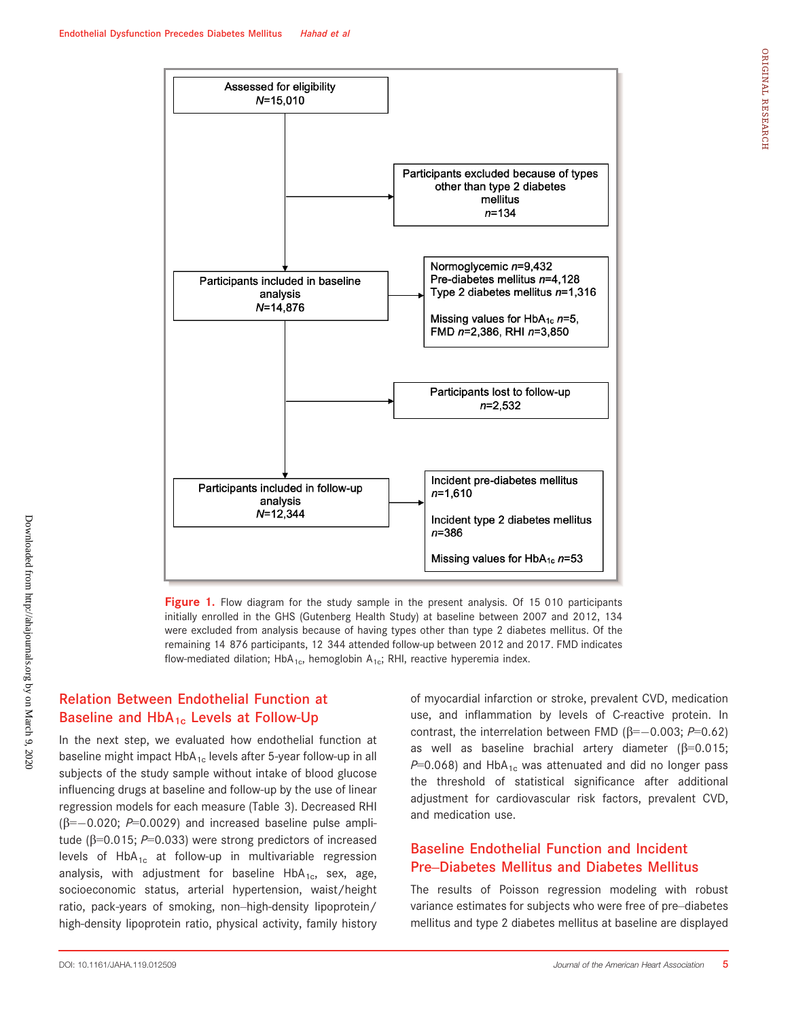

Figure 1. Flow diagram for the study sample in the present analysis. Of 15 010 participants initially enrolled in the GHS (Gutenberg Health Study) at baseline between 2007 and 2012, 134 were excluded from analysis because of having types other than type 2 diabetes mellitus. Of the remaining 14 876 participants, 12 344 attended follow-up between 2012 and 2017. FMD indicates flow-mediated dilation; HbA<sub>1c</sub>, hemoglobin A<sub>1c</sub>; RHI, reactive hyperemia index.

# Relation Between Endothelial Function at Baseline and  $HbA_{1c}$  Levels at Follow-Up

In the next step, we evaluated how endothelial function at baseline might impact  $HbA_{1c}$  levels after 5-year follow-up in all subjects of the study sample without intake of blood glucose influencing drugs at baseline and follow-up by the use of linear regression models for each measure (Table 3). Decreased RHI  $(\beta=-0.020; P=0.0029)$  and increased baseline pulse amplitude ( $\beta$ =0.015; P=0.033) were strong predictors of increased levels of  $HbA_{1c}$  at follow-up in multivariable regression analysis, with adjustment for baseline  $HbA_{1c}$ , sex, age, socioeconomic status, arterial hypertension, waist/height ratio, pack-years of smoking, non–high-density lipoprotein/ high-density lipoprotein ratio, physical activity, family history of myocardial infarction or stroke, prevalent CVD, medication use, and inflammation by levels of C-reactive protein. In contrast, the interrelation between FMD ( $\beta = -0.003$ ; P=0.62) as well as baseline brachial artery diameter ( $\beta$ =0.015;  $P=0.068$ ) and HbA<sub>1c</sub> was attenuated and did no longer pass the threshold of statistical significance after additional adjustment for cardiovascular risk factors, prevalent CVD, and medication use.

# Baseline Endothelial Function and Incident Pre–Diabetes Mellitus and Diabetes Mellitus

The results of Poisson regression modeling with robust variance estimates for subjects who were free of pre–diabetes mellitus and type 2 diabetes mellitus at baseline are displayed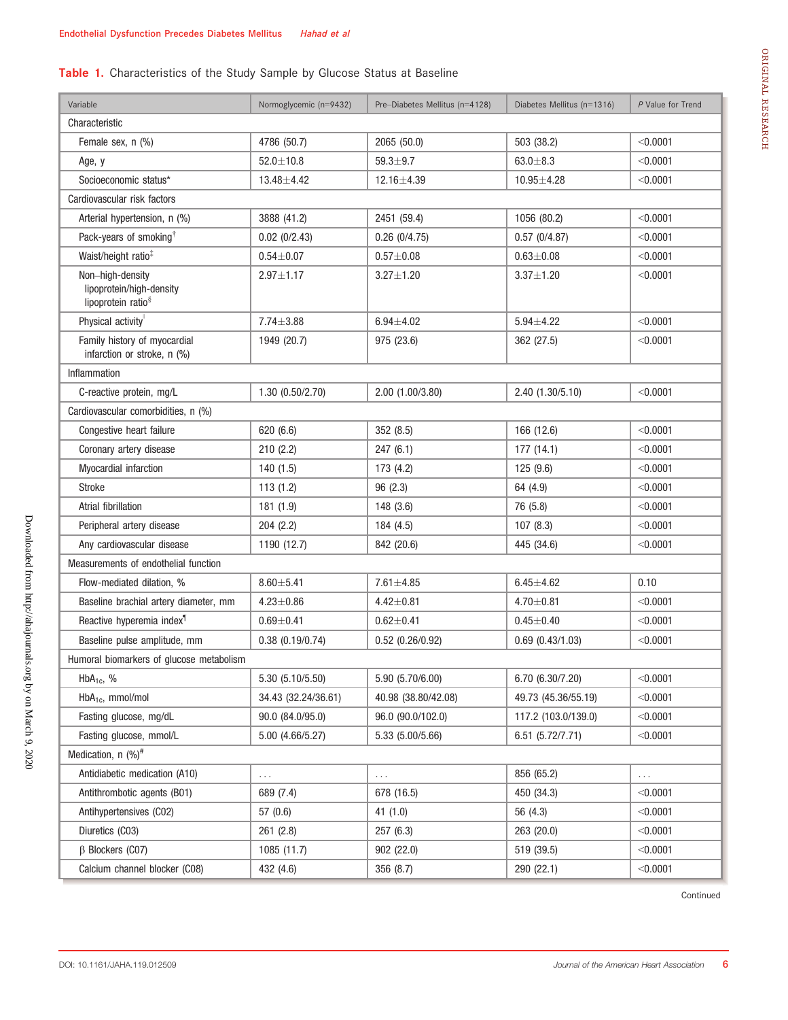# Table 1. Characteristics of the Study Sample by Glucose Status at Baseline

| Variable                                                                       | Normoglycemic (n=9432)    | Pre-Diabetes Mellitus (n=4128) | Diabetes Mellitus (n=1316) | P Value for Trend |  |  |  |  |  |
|--------------------------------------------------------------------------------|---------------------------|--------------------------------|----------------------------|-------------------|--|--|--|--|--|
| Characteristic                                                                 |                           |                                |                            |                   |  |  |  |  |  |
| Female sex, n (%)                                                              | 4786 (50.7)               | 2065 (50.0)                    | 503 (38.2)                 | < 0.0001          |  |  |  |  |  |
| Age, y                                                                         | $52.0 \pm 10.8$           | $59.3 + 9.7$                   | $63.0 + 8.3$               | < 0.0001          |  |  |  |  |  |
| Socioeconomic status*                                                          | $13.48 + 4.42$            | 12.16±4.39                     | $10.95 + 4.28$             | < 0.0001          |  |  |  |  |  |
| Cardiovascular risk factors                                                    |                           |                                |                            |                   |  |  |  |  |  |
| Arterial hypertension, n (%)                                                   | 3888 (41.2)               | 2451 (59.4)                    | 1056 (80.2)                | < 0.0001          |  |  |  |  |  |
| Pack-years of smoking <sup>†</sup>                                             | 0.02(0/2.43)              | 0.26(0/4.75)                   | 0.57(0/4.87)               | < 0.0001          |  |  |  |  |  |
| Waist/height ratio <sup>‡</sup>                                                | $0.54 + 0.07$             | $0.57 + 0.08$                  | $0.63 + 0.08$              | < 0.0001          |  |  |  |  |  |
| Non-high-density<br>lipoprotein/high-density<br>lipoprotein ratio <sup>§</sup> | $2.97 \pm 1.17$           | $3.27 \pm 1.20$                | $3.37 \pm 1.20$            | < 0.0001          |  |  |  |  |  |
| Physical activity                                                              | $7.74 \pm 3.88$           | $6.94 + 4.02$                  | $5.94 \pm 4.22$            | < 0.0001          |  |  |  |  |  |
| Family history of myocardial<br>infarction or stroke, n (%)                    | 1949 (20.7)               | 975 (23.6)                     | 362 (27.5)                 | < 0.0001          |  |  |  |  |  |
| Inflammation                                                                   |                           |                                |                            |                   |  |  |  |  |  |
| C-reactive protein, mg/L                                                       | 1.30 (0.50/2.70)          | 2.00 (1.00/3.80)               | 2.40 (1.30/5.10)           | < 0.0001          |  |  |  |  |  |
| Cardiovascular comorbidities, n (%)                                            |                           |                                |                            |                   |  |  |  |  |  |
| Congestive heart failure                                                       | 620 (6.6)                 | 352 (8.5)                      | 166 (12.6)                 | < 0.0001          |  |  |  |  |  |
| Coronary artery disease                                                        | 210(2.2)                  | 247(6.1)                       | 177(14.1)                  | < 0.0001          |  |  |  |  |  |
| Myocardial infarction                                                          | 140 (1.5)                 | 173 (4.2)                      | 125 (9.6)                  | < 0.0001          |  |  |  |  |  |
| <b>Stroke</b>                                                                  | 113(1.2)                  | 96(2.3)                        | 64 (4.9)                   | < 0.0001          |  |  |  |  |  |
| Atrial fibrillation                                                            | 181 (1.9)                 | 148 (3.6)                      | 76 (5.8)                   | < 0.0001          |  |  |  |  |  |
| Peripheral artery disease                                                      | 204(2.2)                  | 184 (4.5)                      | 107(8.3)                   | < 0.0001          |  |  |  |  |  |
| Any cardiovascular disease                                                     | 1190 (12.7)<br>842 (20.6) |                                | 445 (34.6)                 | < 0.0001          |  |  |  |  |  |
| Measurements of endothelial function                                           |                           |                                |                            |                   |  |  |  |  |  |
| Flow-mediated dilation, %                                                      | $8.60 + 5.41$             | $7.61 \pm 4.85$                | $6.45 \pm 4.62$            | 0.10              |  |  |  |  |  |
| Baseline brachial artery diameter, mm                                          | $4.23 \pm 0.86$           | $4.42 \pm 0.81$                | $4.70 \pm 0.81$            | < 0.0001          |  |  |  |  |  |
| Reactive hyperemia index <sup>1</sup>                                          | $0.69 + 0.41$             | $0.62 \pm 0.41$                | $0.45 + 0.40$              | < 0.0001          |  |  |  |  |  |
| Baseline pulse amplitude, mm                                                   | 0.38(0.19/0.74)           | $0.52$ (0.26/0.92)             | $0.69$ $(0.43/1.03)$       | < 0.0001          |  |  |  |  |  |
| Humoral biomarkers of glucose metabolism                                       |                           |                                |                            |                   |  |  |  |  |  |
| $HbA_{1c}$ , %                                                                 | 5.30 (5.10/5.50)          | 5.90 (5.70/6.00)               | 6.70 (6.30/7.20)           | < 0.0001          |  |  |  |  |  |
| $HbA_{1c}$ , mmol/mol                                                          | 34.43 (32.24/36.61)       | 40.98 (38.80/42.08)            | 49.73 (45.36/55.19)        | < 0.0001          |  |  |  |  |  |
| Fasting glucose, mg/dL                                                         | 90.0 (84.0/95.0)          | 96.0 (90.0/102.0)              | 117.2 (103.0/139.0)        | < 0.0001          |  |  |  |  |  |
| Fasting glucose, mmol/L                                                        | 5.00 (4.66/5.27)          | 5.33 (5.00/5.66)               | 6.51 (5.72/7.71)           | < 0.0001          |  |  |  |  |  |
| Medication, n (%) <sup>#</sup>                                                 |                           |                                |                            |                   |  |  |  |  |  |
| Antidiabetic medication (A10)                                                  | .                         | .                              | 856 (65.2)                 | $\cdots$          |  |  |  |  |  |
| Antithrombotic agents (B01)                                                    | 689 (7.4)                 | 678 (16.5)                     | 450 (34.3)                 | < 0.0001          |  |  |  |  |  |
| Antihypertensives (C02)                                                        | 57 (0.6)                  | 41(1.0)                        | 56 (4.3)                   | < 0.0001          |  |  |  |  |  |
| Diuretics (C03)                                                                | 261 (2.8)                 | 257 (6.3)                      | 263 (20.0)                 | < 0.0001          |  |  |  |  |  |
| $\beta$ Blockers (CO7)                                                         | 1085 (11.7)               | 902 (22.0)                     | 519 (39.5)                 | $<$ 0.0001        |  |  |  |  |  |
| Calcium channel blocker (C08)                                                  | 432 (4.6)                 | 356 (8.7)                      | 290 (22.1)                 | < 0.0001          |  |  |  |  |  |

Continued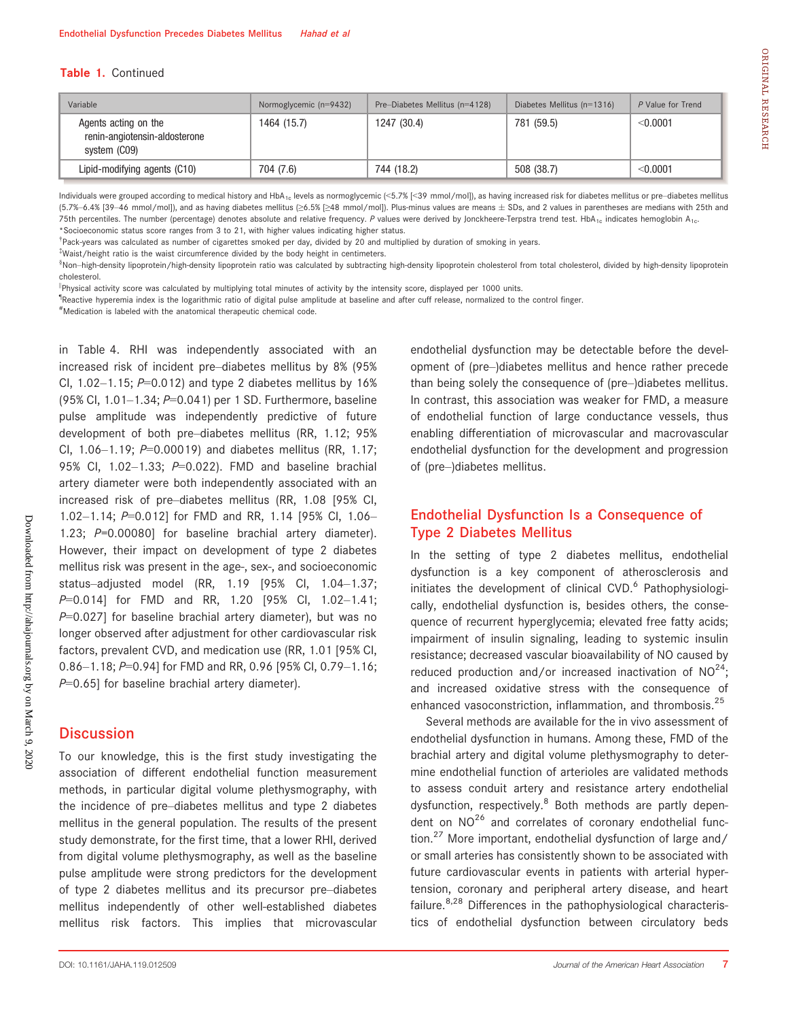#### Table 1. Continued

| Variable                                                              | Normoglycemic (n=9432) | Pre-Diabetes Mellitus (n=4128) | Diabetes Mellitus $(n=1316)$ | P Value for Trend |
|-----------------------------------------------------------------------|------------------------|--------------------------------|------------------------------|-------------------|
| Agents acting on the<br>renin-angiotensin-aldosterone<br>system (CO9) | 1464 (15.7)            | 1247 (30.4)                    | 781 (59.5)                   | < 0.0001          |
| Lipid-modifying agents (C10)                                          | 704 (7.6)              | 744 (18.2)                     | 508 (38.7)                   | < 0.0001          |

Individuals were grouped according to medical history and HbA<sub>1c</sub> levels as normoglycemic (<5.7% [<39 mmol/mol]), as having increased risk for diabetes mellitus or pre-diabetes mellitus (5.7%–6.4% [39–46 mmol/mol]), and as having diabetes mellitus (≥6.5% [≥48 mmol/mol]). Plus-minus values are means ± SDs, and 2 values in parentheses are medians with 25th and 75th percentiles. The number (percentage) denotes absolute and relative frequency. P values were derived by Jonckheere-Terpstra trend test. HbA<sub>1c</sub> indicates hemoglobin A<sub>1c</sub>. \*Socioeconomic status score ranges from 3 to 21, with higher values indicating higher status.

† Pack-years was calculated as number of cigarettes smoked per day, divided by 20 and multiplied by duration of smoking in years.

‡ Waist/height ratio is the waist circumference divided by the body height in centimeters.

§ Non–high-density lipoprotein/high-density lipoprotein ratio was calculated by subtracting high-density lipoprotein cholesterol from total cholesterol, divided by high-density lipoprotein cholesterol.

||Physical activity score was calculated by multiplying total minutes of activity by the intensity score, displayed per 1000 units.

<sup>1</sup>Reactive hyperemia index is the logarithmic ratio of digital pulse amplitude at baseline and after cuff release, normalized to the control finger.

# Medication is labeled with the anatomical therapeutic chemical code.

in Table 4. RHI was independently associated with an increased risk of incident pre–diabetes mellitus by 8% (95% Cl,  $1.02-1.15$ ;  $P=0.012$ ) and type 2 diabetes mellitus by 16% (95% CI, 1.01–1.34; P=0.041) per 1 SD. Furthermore, baseline pulse amplitude was independently predictive of future development of both pre–diabetes mellitus (RR, 1.12; 95% CI,  $1.06-1.19$ ;  $P=0.00019$ ) and diabetes mellitus (RR, 1.17; 95% Cl, 1.02-1.33; P=0.022). FMD and baseline brachial artery diameter were both independently associated with an increased risk of pre–diabetes mellitus (RR, 1.08 [95% CI, 1.02–1.14; P=0.012] for FMD and RR, 1.14 [95% CI, 1.06– 1.23; P=0.00080] for baseline brachial artery diameter). However, their impact on development of type 2 diabetes mellitus risk was present in the age-, sex-, and socioeconomic status–adjusted model (RR, 1.19 [95% CI, 1.04–1.37; P=0.014] for FMD and RR, 1.20 [95% CI, 1.02-1.41;  $P=0.027$ ] for baseline brachial artery diameter), but was no longer observed after adjustment for other cardiovascular risk factors, prevalent CVD, and medication use (RR, 1.01 [95% CI, 0.86–1.18; P=0.94] for FMD and RR, 0.96 [95% CI, 0.79–1.16;  $P=0.65$ ] for baseline brachial artery diameter).

### **Discussion**

To our knowledge, this is the first study investigating the association of different endothelial function measurement methods, in particular digital volume plethysmography, with the incidence of pre–diabetes mellitus and type 2 diabetes mellitus in the general population. The results of the present study demonstrate, for the first time, that a lower RHI, derived from digital volume plethysmography, as well as the baseline pulse amplitude were strong predictors for the development of type 2 diabetes mellitus and its precursor pre–diabetes mellitus independently of other well-established diabetes mellitus risk factors. This implies that microvascular than being solely the consequence of (pre–)diabetes mellitus. In contrast, this association was weaker for FMD, a measure of endothelial function of large conductance vessels, thus enabling differentiation of microvascular and macrovascular endothelial dysfunction for the development and progression of (pre–)diabetes mellitus.

endothelial dysfunction may be detectable before the development of (pre–)diabetes mellitus and hence rather precede

## Endothelial Dysfunction Is a Consequence of Type 2 Diabetes Mellitus

In the setting of type 2 diabetes mellitus, endothelial dysfunction is a key component of atherosclerosis and initiates the development of clinical CVD.<sup>6</sup> Pathophysiologically, endothelial dysfunction is, besides others, the consequence of recurrent hyperglycemia; elevated free fatty acids; impairment of insulin signaling, leading to systemic insulin resistance; decreased vascular bioavailability of NO caused by reduced production and/or increased inactivation of  $NO^{24}$ ; and increased oxidative stress with the consequence of enhanced vasoconstriction, inflammation, and thrombosis.<sup>25</sup>

Several methods are available for the in vivo assessment of endothelial dysfunction in humans. Among these, FMD of the brachial artery and digital volume plethysmography to determine endothelial function of arterioles are validated methods to assess conduit artery and resistance artery endothelial dysfunction, respectively.<sup>8</sup> Both methods are partly dependent on  $NO^{26}$  and correlates of coronary endothelial function.<sup>27</sup> More important, endothelial dysfunction of large and/ or small arteries has consistently shown to be associated with future cardiovascular events in patients with arterial hypertension, coronary and peripheral artery disease, and heart failure. $8,28$  Differences in the pathophysiological characteristics of endothelial dysfunction between circulatory beds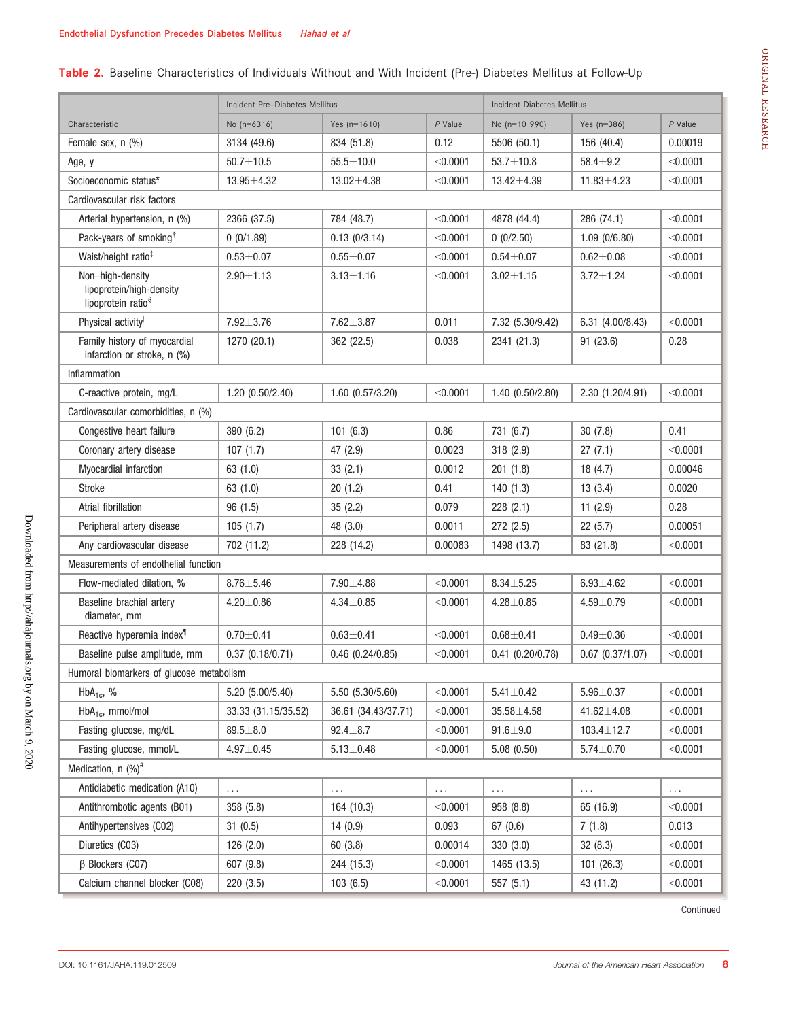# Table 2. Baseline Characteristics of Individuals Without and With Incident (Pre-) Diabetes Mellitus at Follow-Up

|                                                                            | Incident Pre-Diabetes Mellitus |                             |            | Incident Diabetes Mellitus     |                      |           |  |  |  |  |
|----------------------------------------------------------------------------|--------------------------------|-----------------------------|------------|--------------------------------|----------------------|-----------|--|--|--|--|
| Characteristic                                                             | No $(n=6316)$                  | $P$ Value<br>Yes $(n=1610)$ |            | No (n=10 990)<br>Yes $(n=386)$ |                      | $P$ Value |  |  |  |  |
| Female sex, n (%)                                                          | 3134 (49.6)                    | 834 (51.8)                  | 0.12       | 5506 (50.1)                    | 156 (40.4)           | 0.00019   |  |  |  |  |
| Age, y                                                                     | $50.7 \pm 10.5$                | $55.5 \pm 10.0$             | < 0.0001   | $53.7 \pm 10.8$                | $58.4 + 9.2$         | < 0.0001  |  |  |  |  |
| Socioeconomic status*                                                      | $13.95 \pm 4.32$               | $13.02 \pm 4.38$            | < 0.0001   | $13.42 \pm 4.39$               | $11.83 \pm 4.23$     | < 0.0001  |  |  |  |  |
| Cardiovascular risk factors                                                |                                |                             |            |                                |                      |           |  |  |  |  |
| Arterial hypertension, n (%)                                               | 2366 (37.5)                    | 784 (48.7)                  | < 0.0001   | 4878 (44.4)                    | 286 (74.1)           | < 0.0001  |  |  |  |  |
| Pack-years of smoking <sup>†</sup>                                         | 0(0/1.89)                      | 0.13(0/3.14)                | < 0.0001   | 0(0/2.50)                      | 1.09(0/6.80)         | < 0.0001  |  |  |  |  |
| Waist/height ratio <sup>‡</sup>                                            | $0.53 + 0.07$                  | $0.55 + 0.07$               | $<$ 0.0001 | $0.54 \pm 0.07$                | $0.62 + 0.08$        | < 0.0001  |  |  |  |  |
| Non-high-density<br>lipoprotein/high-density<br>lipoprotein ratio $\delta$ | $2.90 + 1.13$                  | $3.13 \pm 1.16$             | < 0.0001   | $3.02 \pm 1.15$                | $3.72 \pm 1.24$      | < 0.0001  |  |  |  |  |
| Physical activity                                                          | $7.92 \pm 3.76$                | $7.62 \pm 3.87$             | 0.011      | 7.32 (5.30/9.42)               | 6.31 (4.00/8.43)     | < 0.0001  |  |  |  |  |
| Family history of myocardial<br>infarction or stroke, n (%)                | 1270 (20.1)                    | 362 (22.5)                  | 0.038      | 2341 (21.3)                    | 91 (23.6)            | 0.28      |  |  |  |  |
| Inflammation                                                               |                                |                             |            |                                |                      |           |  |  |  |  |
| C-reactive protein, mg/L                                                   | 1.20(0.50/2.40)                | $1.60$ $(0.57/3.20)$        | < 0.0001   | 1.40(0.50/2.80)                | 2.30 (1.20/4.91)     | < 0.0001  |  |  |  |  |
| Cardiovascular comorbidities, n (%)                                        |                                |                             |            |                                |                      |           |  |  |  |  |
| Congestive heart failure                                                   | 390 (6.2)                      | 101(6.3)                    | 0.86       | 731 (6.7)                      | 30(7.8)              | 0.41      |  |  |  |  |
| Coronary artery disease                                                    | 107(1.7)                       | 47 (2.9)                    | 0.0023     | 318 (2.9)                      | 27(7.1)              | < 0.0001  |  |  |  |  |
| Myocardial infarction                                                      | 63(1.0)                        | 33(2.1)                     | 0.0012     | 201(1.8)                       | 18(4.7)              | 0.00046   |  |  |  |  |
| <b>Stroke</b>                                                              | 63 (1.0)                       | 20(1.2)                     | 0.41       | 140(1.3)                       | 13(3.4)              | 0.0020    |  |  |  |  |
| Atrial fibrillation                                                        | 96(1.5)                        | 35(2.2)                     | 0.079      | 228(2.1)                       | 11(2.9)              | 0.28      |  |  |  |  |
| Peripheral artery disease                                                  | 105(1.7)                       | 48 (3.0)                    | 0.0011     | 272 (2.5)                      | 22(5.7)              | 0.00051   |  |  |  |  |
| Any cardiovascular disease                                                 | 702 (11.2)                     | 228 (14.2)                  | 0.00083    | 1498 (13.7)                    | 83 (21.8)            | < 0.0001  |  |  |  |  |
| Measurements of endothelial function                                       |                                |                             |            |                                |                      |           |  |  |  |  |
| Flow-mediated dilation, %                                                  | $8.76 \pm 5.46$                | $7.90 \pm 4.88$             | < 0.0001   | $8.34 + 5.25$                  | $6.93 + 4.62$        | < 0.0001  |  |  |  |  |
| Baseline brachial artery<br>diameter, mm                                   | $4.20 \pm 0.86$                | $4.34 \pm 0.85$             | < 0.0001   | $4.28 + 0.85$                  | $4.59 + 0.79$        | < 0.0001  |  |  |  |  |
| Reactive hyperemia index <sup>1</sup>                                      | $0.70 + 0.41$                  | $0.63 + 0.41$               | < 0.0001   | $0.68 + 0.41$                  | $0.49 + 0.36$        | < 0.0001  |  |  |  |  |
| Baseline pulse amplitude, mm                                               | 0.37(0.18/0.71)                | $0.46$ $(0.24/0.85)$        | < 0.0001   | $0.41$ $(0.20/0.78)$           | $0.67$ $(0.37/1.07)$ | < 0.0001  |  |  |  |  |
| Humoral biomarkers of glucose metabolism                                   |                                |                             |            |                                |                      |           |  |  |  |  |
| $HbA_{1c}$ , %                                                             | 5.20 (5.00/5.40)               | 5.50 (5.30/5.60)            | < 0.0001   | $5.41 \pm 0.42$                | $5.96 + 0.37$        | < 0.0001  |  |  |  |  |
| $HbA_{1c}$ , mmol/mol                                                      | 33.33 (31.15/35.52)            | 36.61 (34.43/37.71)         | < 0.0001   | $35.58 \pm 4.58$               | 41.62±4.08           | < 0.0001  |  |  |  |  |
| Fasting glucose, mg/dL                                                     | $89.5 + 8.0$                   | $92.4 \pm 8.7$              | < 0.0001   | $91.6 + 9.0$                   | $103.4 \pm 12.7$     | < 0.0001  |  |  |  |  |
| Fasting glucose, mmol/L                                                    | $4.97 + 0.45$                  | $5.13 \pm 0.48$             | < 0.0001   | 5.08(0.50)                     | $5.74 \pm 0.70$      | < 0.0001  |  |  |  |  |
| Medication, $n$ (%) <sup>#</sup>                                           |                                |                             |            |                                |                      |           |  |  |  |  |
| Antidiabetic medication (A10)                                              | .                              | .                           | .          | .                              | .                    | .         |  |  |  |  |
| Antithrombotic agents (B01)                                                | 358 (5.8)                      | 164 (10.3)                  | < 0.0001   | 958 (8.8)                      | 65 (16.9)            | < 0.0001  |  |  |  |  |
| Antihypertensives (C02)                                                    | 31(0.5)                        | 14(0.9)                     | 0.093      | 67(0.6)                        | 7(1.8)               | 0.013     |  |  |  |  |
| Diuretics (C03)                                                            | 126(2.0)                       | 60 (3.8)                    | 0.00014    | 330 (3.0)                      | 32(8.3)              | < 0.0001  |  |  |  |  |
| $\beta$ Blockers (CO7)                                                     | 607 (9.8)                      | 244 (15.3)                  | < 0.0001   | 1465 (13.5)                    | 101(26.3)            | < 0.0001  |  |  |  |  |
| Calcium channel blocker (C08)                                              | 220 (3.5)                      | 103(6.5)                    | < 0.0001   | 557 (5.1)                      | 43 (11.2)            | < 0.0001  |  |  |  |  |

Continued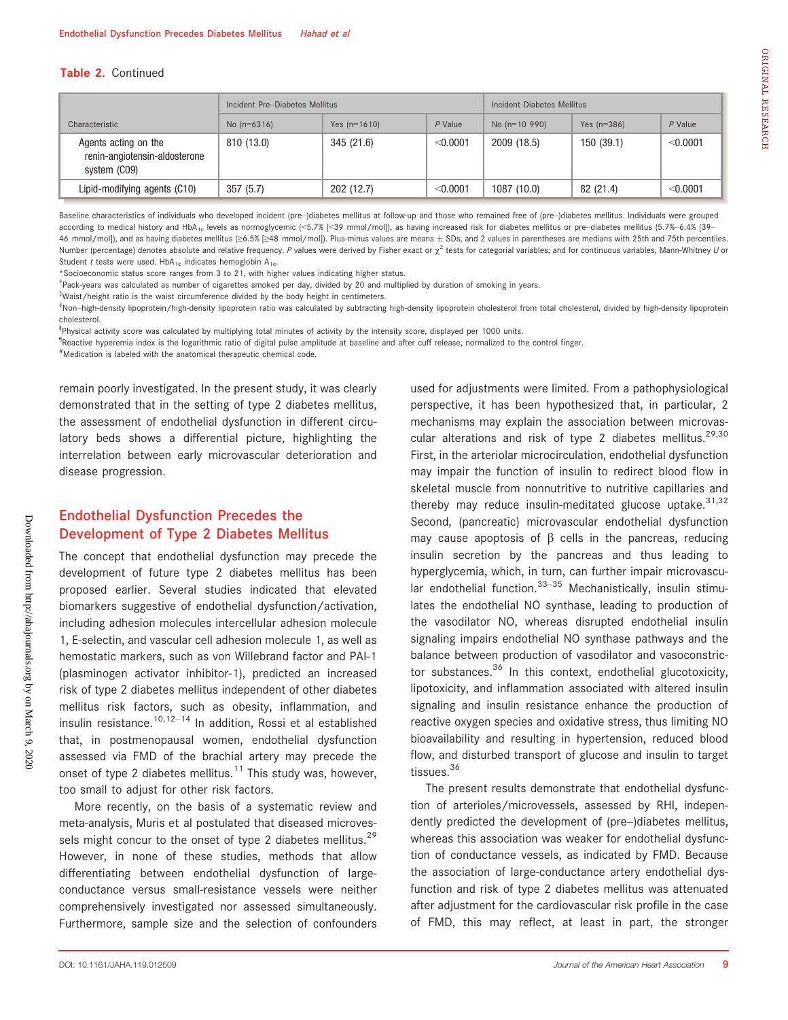#### Table 2. Continued

|                                                                       | Incident Pre-Diabetes Mellitus |                |            | Incident Diabetes Mellitus |               |           |  |
|-----------------------------------------------------------------------|--------------------------------|----------------|------------|----------------------------|---------------|-----------|--|
| Characteristic                                                        | No $(n=6316)$                  | Yes $(n=1610)$ | $P$ Value  | No $(n=10, 990)$           | Yes $(n=386)$ | $P$ Value |  |
| Agents acting on the<br>renin-angiotensin-aldosterone<br>system (CO9) | 810 (13.0)                     | 345 (21.6)     | $<$ 0.0001 | 2009 (18.5)                | 150(39.1)     | < 0.0001  |  |
| Lipid-modifying agents (C10)                                          | 357(5.7)                       | 202(12.7)      | $<$ 0.0001 | 1087(10.0)                 | 82 (21.4)     | < 0.0001  |  |

Baseline characteristics of individuals who developed incident (pre-)diabetes mellitus at follow-up and those who remained free of (pre-)diabetes mellitus. Individuals were grouped according to medical history and HbA<sub>1c</sub> levels as normoglycemic (<5.7% [<39 mmol/mol]), as having increased risk for diabetes mellitus or pre-diabetes mellitus (5.7%-6.4% [39-46 mmol/mol]), and as having diabetes mellitus (≥6.5% [≥48 mmol/mol]). Plus-minus values are means SDs, and 2 values in parentheses are medians with 25th and 75th percentiles. Number (percentage) denotes absolute and relative frequency. P values were derived by Fisher exact or  $\chi^2$  tests for categorial variables; and for continuous variables, Mann-Whitney U or Student t tests were used.  $HbA_{1c}$  indicates hemoglobin  $A_{1c}$ .

\*Socioeconomic status score ranges from 3 to 21, with higher values indicating higher status.

† Pack-years was calculated as number of cigarettes smoked per day, divided by 20 and multiplied by duration of smoking in years.

‡ Waist/height ratio is the waist circumference divided by the body height in centimeters.

®Non–high-density lipoprotein/high-density lipoprotein ratio was calculated by subtracting high-density lipoprotein cholesterol from total cholesterol, divided by high-density lipoprotein cholesterol.

‖ Physical activity score was calculated by multiplying total minutes of activity by the intensity score, displayed per 1000 units.

¶ Reactive hyperemia index is the logarithmic ratio of digital pulse amplitude at baseline and after cuff release, normalized to the control finger.

# Medication is labeled with the anatomical therapeutic chemical code.

remain poorly investigated. In the present study, it was clearly demonstrated that in the setting of type 2 diabetes mellitus, the assessment of endothelial dysfunction in different circulatory beds shows a differential picture, highlighting the interrelation between early microvascular deterioration and disease progression.

# Endothelial Dysfunction Precedes the Development of Type 2 Diabetes Mellitus

The concept that endothelial dysfunction may precede the development of future type 2 diabetes mellitus has been proposed earlier. Several studies indicated that elevated biomarkers suggestive of endothelial dysfunction/activation, including adhesion molecules intercellular adhesion molecule 1, E-selectin, and vascular cell adhesion molecule 1, as well as hemostatic markers, such as von Willebrand factor and PAI-1 (plasminogen activator inhibitor-1), predicted an increased risk of type 2 diabetes mellitus independent of other diabetes mellitus risk factors, such as obesity, inflammation, and insulin resistance.<sup>10,12–14</sup> In addition, Rossi et al established that, in postmenopausal women, endothelial dysfunction assessed via FMD of the brachial artery may precede the onset of type 2 diabetes mellitus.<sup>11</sup> This study was, however, too small to adjust for other risk factors.

More recently, on the basis of a systematic review and meta-analysis, Muris et al postulated that diseased microvessels might concur to the onset of type 2 diabetes mellitus.<sup>29</sup> However, in none of these studies, methods that allow differentiating between endothelial dysfunction of largeconductance versus small-resistance vessels were neither comprehensively investigated nor assessed simultaneously. Furthermore, sample size and the selection of confounders used for adjustments were limited. From a pathophysiological perspective, it has been hypothesized that, in particular, 2 mechanisms may explain the association between microvascular alterations and risk of type 2 diabetes mellitus.<sup>29,30</sup> First, in the arteriolar microcirculation, endothelial dysfunction may impair the function of insulin to redirect blood flow in skeletal muscle from nonnutritive to nutritive capillaries and thereby may reduce insulin-meditated glucose uptake.  $31,32$ Second, (pancreatic) microvascular endothelial dysfunction may cause apoptosis of  $\beta$  cells in the pancreas, reducing insulin secretion by the pancreas and thus leading to hyperglycemia, which, in turn, can further impair microvascular endothelial function. $33-35$  Mechanistically, insulin stimulates the endothelial NO synthase, leading to production of the vasodilator NO, whereas disrupted endothelial insulin signaling impairs endothelial NO synthase pathways and the balance between production of vasodilator and vasoconstrictor substances. $36$  In this context, endothelial glucotoxicity, lipotoxicity, and inflammation associated with altered insulin signaling and insulin resistance enhance the production of reactive oxygen species and oxidative stress, thus limiting NO bioavailability and resulting in hypertension, reduced blood flow, and disturbed transport of glucose and insulin to target tissues.<sup>36</sup>

The present results demonstrate that endothelial dysfunction of arterioles/microvessels, assessed by RHI, independently predicted the development of (pre–)diabetes mellitus, whereas this association was weaker for endothelial dysfunction of conductance vessels, as indicated by FMD. Because the association of large-conductance artery endothelial dysfunction and risk of type 2 diabetes mellitus was attenuated after adjustment for the cardiovascular risk profile in the case of FMD, this may reflect, at least in part, the stronger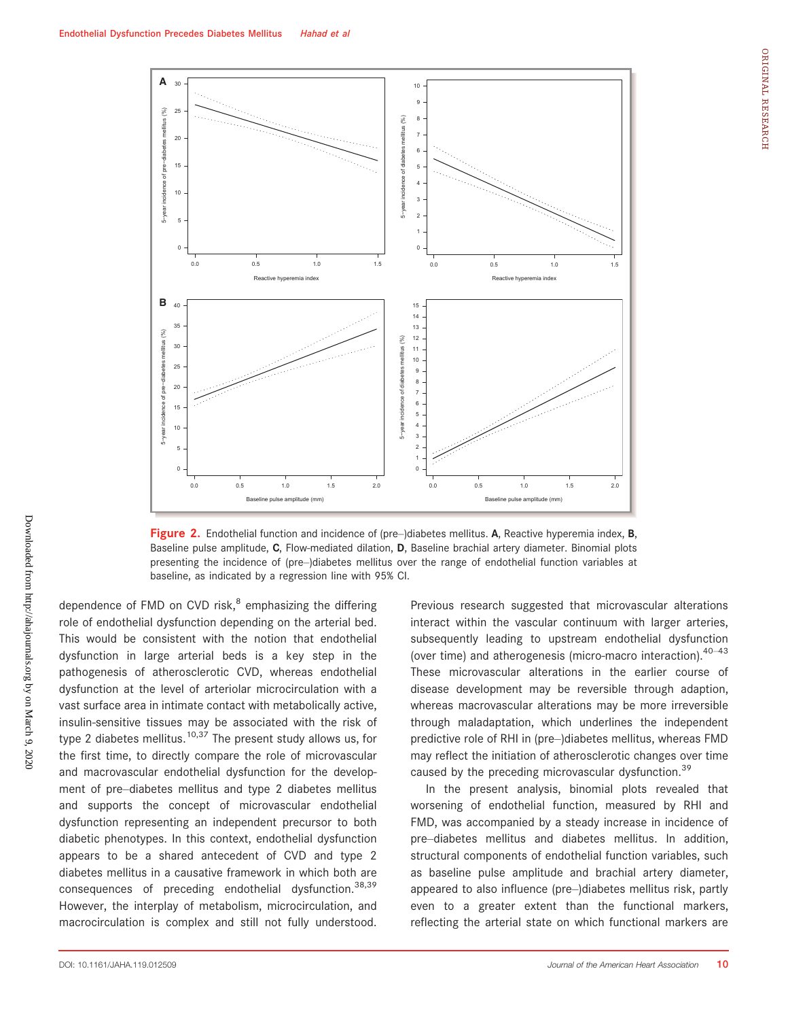

Figure 2. Endothelial function and incidence of (pre-)diabetes mellitus. A, Reactive hyperemia index, B, Baseline pulse amplitude, C, Flow-mediated dilation, D, Baseline brachial artery diameter. Binomial plots presenting the incidence of (pre–)diabetes mellitus over the range of endothelial function variables at baseline, as indicated by a regression line with 95% CI.

dependence of FMD on CVD risk, $<sup>8</sup>$  emphasizing the differing</sup> role of endothelial dysfunction depending on the arterial bed. This would be consistent with the notion that endothelial dysfunction in large arterial beds is a key step in the pathogenesis of atherosclerotic CVD, whereas endothelial dysfunction at the level of arteriolar microcirculation with a vast surface area in intimate contact with metabolically active, insulin-sensitive tissues may be associated with the risk of type 2 diabetes mellitus.<sup>10,37</sup> The present study allows us, for the first time, to directly compare the role of microvascular and macrovascular endothelial dysfunction for the development of pre–diabetes mellitus and type 2 diabetes mellitus and supports the concept of microvascular endothelial dysfunction representing an independent precursor to both diabetic phenotypes. In this context, endothelial dysfunction appears to be a shared antecedent of CVD and type 2 diabetes mellitus in a causative framework in which both are consequences of preceding endothelial dysfunction.38,39 However, the interplay of metabolism, microcirculation, and macrocirculation is complex and still not fully understood. Previous research suggested that microvascular alterations interact within the vascular continuum with larger arteries, subsequently leading to upstream endothelial dysfunction (over time) and atherogenesis (micro-macro interaction). $40-43$ These microvascular alterations in the earlier course of disease development may be reversible through adaption, whereas macrovascular alterations may be more irreversible through maladaptation, which underlines the independent predictive role of RHI in (pre–)diabetes mellitus, whereas FMD may reflect the initiation of atherosclerotic changes over time caused by the preceding microvascular dysfunction.<sup>39</sup>

In the present analysis, binomial plots revealed that worsening of endothelial function, measured by RHI and FMD, was accompanied by a steady increase in incidence of pre–diabetes mellitus and diabetes mellitus. In addition, structural components of endothelial function variables, such as baseline pulse amplitude and brachial artery diameter, appeared to also influence (pre–)diabetes mellitus risk, partly even to a greater extent than the functional markers, reflecting the arterial state on which functional markers are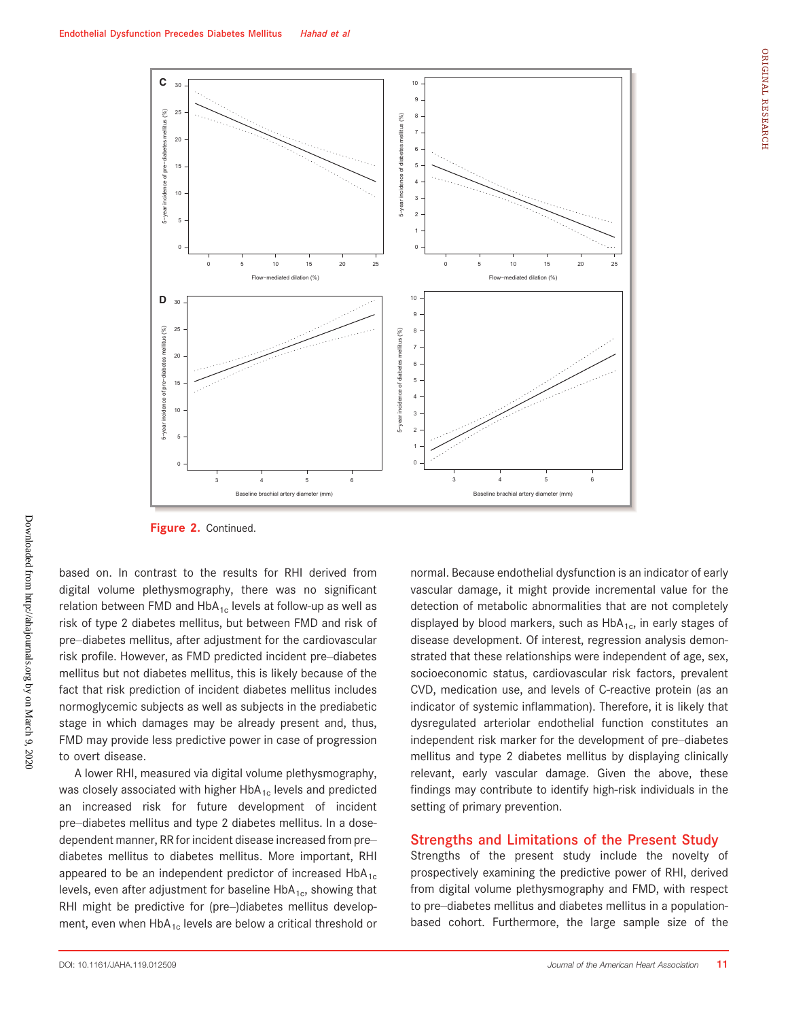



Figure 2. Continued.

based on. In contrast to the results for RHI derived from digital volume plethysmography, there was no significant relation between FMD and  $HbA_{1c}$  levels at follow-up as well as risk of type 2 diabetes mellitus, but between FMD and risk of pre–diabetes mellitus, after adjustment for the cardiovascular risk profile. However, as FMD predicted incident pre–diabetes mellitus but not diabetes mellitus, this is likely because of the fact that risk prediction of incident diabetes mellitus includes normoglycemic subjects as well as subjects in the prediabetic stage in which damages may be already present and, thus, FMD may provide less predictive power in case of progression to overt disease.

A lower RHI, measured via digital volume plethysmography, was closely associated with higher  $HbA_{1c}$  levels and predicted an increased risk for future development of incident pre–diabetes mellitus and type 2 diabetes mellitus. In a dosedependent manner, RR for incident disease increased from pre– diabetes mellitus to diabetes mellitus. More important, RHI appeared to be an independent predictor of increased  $HbA_{1c}$ levels, even after adjustment for baseline  $HbA_{1c}$ , showing that RHI might be predictive for (pre–)diabetes mellitus development, even when  $HbA_{1c}$  levels are below a critical threshold or normal. Because endothelial dysfunction is an indicator of early vascular damage, it might provide incremental value for the detection of metabolic abnormalities that are not completely displayed by blood markers, such as  $HbA_{1c}$ , in early stages of disease development. Of interest, regression analysis demonstrated that these relationships were independent of age, sex, socioeconomic status, cardiovascular risk factors, prevalent CVD, medication use, and levels of C-reactive protein (as an indicator of systemic inflammation). Therefore, it is likely that dysregulated arteriolar endothelial function constitutes an independent risk marker for the development of pre–diabetes mellitus and type 2 diabetes mellitus by displaying clinically relevant, early vascular damage. Given the above, these findings may contribute to identify high-risk individuals in the setting of primary prevention.

#### Strengths and Limitations of the Present Study

Strengths of the present study include the novelty of prospectively examining the predictive power of RHI, derived from digital volume plethysmography and FMD, with respect to pre–diabetes mellitus and diabetes mellitus in a populationbased cohort. Furthermore, the large sample size of the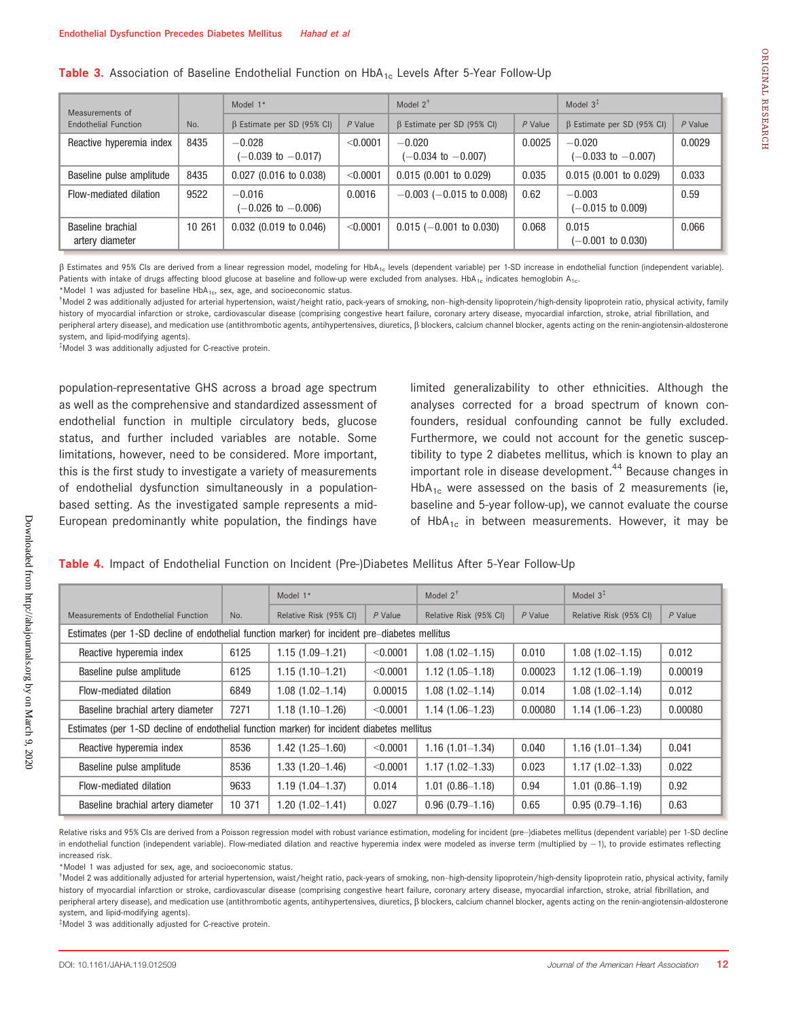| Measurements of                      |        | Model $1*$                                |           | Model $2^{\dagger}$                       |           | Model $3^{\ddagger}$                      |           |
|--------------------------------------|--------|-------------------------------------------|-----------|-------------------------------------------|-----------|-------------------------------------------|-----------|
| <b>Endothelial Function</b>          | No.    | $\beta$ Estimate per SD (95% CI)          | $P$ Value | $\beta$ Estimate per SD (95% CI)          | $P$ Value | $\beta$ Estimate per SD (95% CI)          | $P$ Value |
| Reactive hyperemia index             | 8435   | $-0.028$<br>$(-0.039 \text{ to } -0.017)$ | < 0.0001  | $-0.020$<br>$(-0.034 \text{ to } -0.007)$ | 0.0025    | $-0.020$<br>$(-0.033 \text{ to } -0.007)$ | 0.0029    |
| Baseline pulse amplitude             | 8435   | $0.027$ (0.016 to 0.038)                  | < 0.0001  | $0.015$ (0.001 to 0.029)                  | 0.035     | $0.015(0.001)$ to $0.029$ )               | 0.033     |
| Flow-mediated dilation               | 9522   | $-0.016$<br>$(-0.026 \text{ to } -0.006)$ | 0.0016    | $-0.003$ ( $-0.015$ to 0.008)             | 0.62      | $-0.003$<br>$(-0.015 \text{ to } 0.009)$  | 0.59      |
| Baseline brachial<br>artery diameter | 10 261 | $0.032$ (0.019 to 0.046)                  | < 0.0001  | $0.015$ (-0.001 to 0.030)                 | 0.068     | 0.015<br>$(-0.001$ to $0.030)$            | 0.066     |

b Estimates and 95% CIs are derived from a linear regression model, modeling for HbA1c levels (dependent variable) per 1-SD increase in endothelial function (independent variable). Patients with intake of drugs affecting blood glucose at baseline and follow-up were excluded from analyses. HbA<sub>1c</sub> indicates hemoglobin A<sub>1c</sub>.

Model 2 was additionally adjusted for arterial hypertension, waist/height ratio, pack-years of smoking, non–high-density lipoprotein/high-density lipoprotein ratio, physical activity, family history of myocardial infarction or stroke, cardiovascular disease (comprising congestive heart failure, coronary artery disease, myocardial infarction, stroke, atrial fibrillation, and peripheral artery disease), and medication use (antithrombotic agents, antihypertensives, diuretics,  $\beta$  blockers, calcium channel blocker, agents acting on the renin-angiotensin-aldosterone system, and lipid-modifying agents).

‡ Model 3 was additionally adjusted for C-reactive protein.

population-representative GHS across a broad age spectrum as well as the comprehensive and standardized assessment of endothelial function in multiple circulatory beds, glucose status, and further included variables are notable. Some limitations, however, need to be considered. More important, this is the first study to investigate a variety of measurements of endothelial dysfunction simultaneously in a populationbased setting. As the investigated sample represents a mid-European predominantly white population, the findings have limited generalizability to other ethnicities. Although the analyses corrected for a broad spectrum of known confounders, residual confounding cannot be fully excluded. Furthermore, we could not account for the genetic susceptibility to type 2 diabetes mellitus, which is known to play an important role in disease development.<sup>44</sup> Because changes in  $HbA_{1c}$  were assessed on the basis of 2 measurements (ie, baseline and 5-year follow-up), we cannot evaluate the course of HbA<sub>1c</sub> in between measurements. However, it may be

#### Table 4. Impact of Endothelial Function on Incident (Pre-)Diabetes Mellitus After 5-Year Follow-Up

|                                                                                                |        | Model 1*               |           | Model $2^{\dagger}$    |           | Model $3^*$            |           |  |
|------------------------------------------------------------------------------------------------|--------|------------------------|-----------|------------------------|-----------|------------------------|-----------|--|
| Measurements of Endothelial Function                                                           | No.    | Relative Risk (95% CI) | $P$ Value | Relative Risk (95% CI) | $P$ Value | Relative Risk (95% CI) | $P$ Value |  |
| Estimates (per 1-SD decline of endothelial function marker) for incident pre-diabetes mellitus |        |                        |           |                        |           |                        |           |  |
| Reactive hyperemia index                                                                       | 6125   | $1.15(1.09-1.21)$      | < 0.0001  | $1.08(1.02 - 1.15)$    | 0.010     | $1.08(1.02 - 1.15)$    | 0.012     |  |
| Baseline pulse amplitude                                                                       | 6125   | $1.15(1.10-1.21)$      | < 0.0001  | $1.12(1.05 - 1.18)$    | 0.00023   | $1.12(1.06 - 1.19)$    | 0.00019   |  |
| Flow-mediated dilation                                                                         | 6849   | $1.08(1.02 - 1.14)$    | 0.00015   | $1.08(1.02 - 1.14)$    | 0.014     | $1.08(1.02 - 1.14)$    | 0.012     |  |
| Baseline brachial artery diameter                                                              | 7271   | $1.18(1.10-1.26)$      | < 0.0001  | $1.14(1.06-1.23)$      | 0.00080   | $1.14(1.06-1.23)$      | 0.00080   |  |
| Estimates (per 1-SD decline of endothelial function marker) for incident diabetes mellitus     |        |                        |           |                        |           |                        |           |  |
| Reactive hyperemia index                                                                       | 8536   | 1.42 (1.25-1.60)       | < 0.0001  | $1.16(1.01 - 1.34)$    | 0.040     | $1.16(1.01 - 1.34)$    | 0.041     |  |
| Baseline pulse amplitude                                                                       | 8536   | $1.33(1.20 - 1.46)$    | < 0.0001  | $1.17(1.02 - 1.33)$    | 0.023     | $1.17(1.02 - 1.33)$    | 0.022     |  |
| Flow-mediated dilation                                                                         | 9633   | $1.19(1.04 - 1.37)$    | 0.014     | $1.01(0.86 - 1.18)$    | 0.94      | $1.01(0.86 - 1.19)$    | 0.92      |  |
| Baseline brachial artery diameter                                                              | 10 371 | 1.20 (1.02-1.41)       | 0.027     | $0.96(0.79 - 1.16)$    | 0.65      | $0.95(0.79 - 1.16)$    | 0.63      |  |

Relative risks and 95% CIs are derived from a Poisson regression model with robust variance estimation, modeling for incident (pre–)diabetes mellitus (dependent variable) per 1-SD decline in endothelial function (independent variable). Flow-mediated dilation and reactive hyperemia index were modeled as inverse term (multiplied by -1), to provide estimates reflecting increased risk.

\*Model 1 was adjusted for sex, age, and socioeconomic status.

† Model 2 was additionally adjusted for arterial hypertension, waist/height ratio, pack-years of smoking, non–high-density lipoprotein/high-density lipoprotein ratio, physical activity, family history of myocardial infarction or stroke, cardiovascular disease (comprising congestive heart failure, coronary artery disease, myocardial infarction, stroke, atrial fibrillation, and peripheral artery disease), and medication use (antithrombotic agents, antihypertensives, diuretics,  $\beta$  blockers, calcium channel blocker, agents acting on the renin-angiotensin-aldosterone system, and lipid-modifying agents).

‡ Model 3 was additionally adjusted for C-reactive protein.

<sup>\*</sup>Model 1 was adjusted for baseline  $HbA_{1c}$ , sex, age, and socioeconomic status.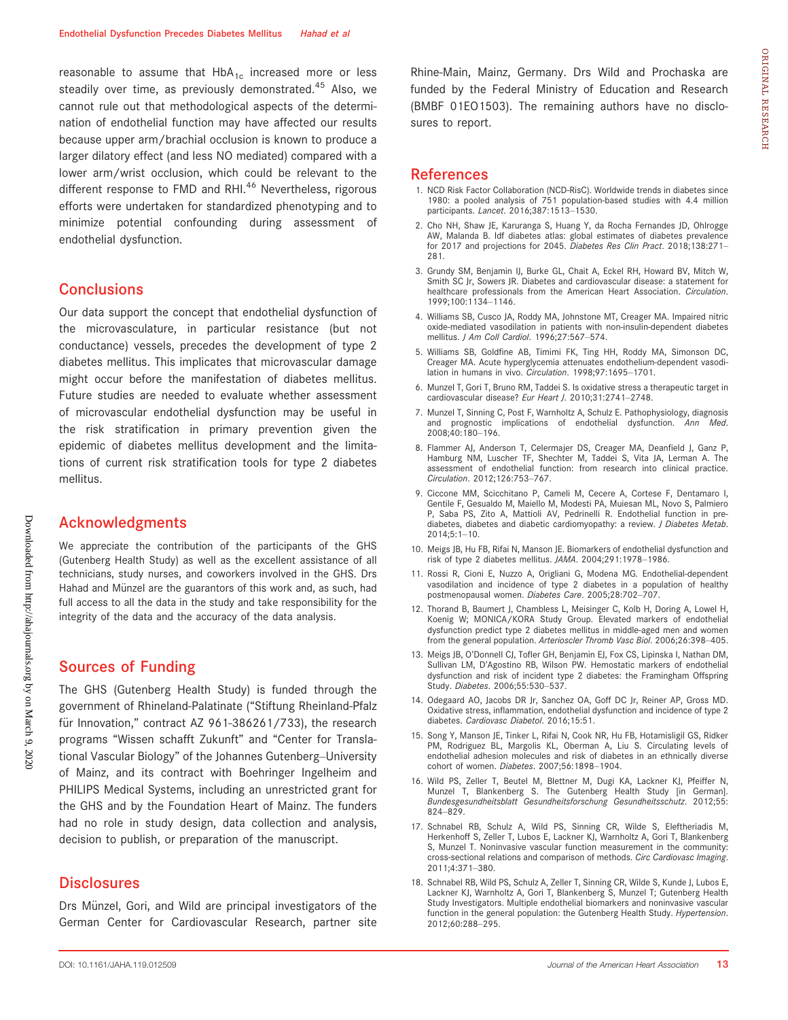reasonable to assume that  $HbA_{1c}$  increased more or less steadily over time, as previously demonstrated.<sup>45</sup> Also, we cannot rule out that methodological aspects of the determination of endothelial function may have affected our results because upper arm/brachial occlusion is known to produce a larger dilatory effect (and less NO mediated) compared with a lower arm/wrist occlusion, which could be relevant to the different response to FMD and RHI.<sup>46</sup> Nevertheless, rigorous efforts were undertaken for standardized phenotyping and to minimize potential confounding during assessment of endothelial dysfunction.

### **Conclusions**

Our data support the concept that endothelial dysfunction of the microvasculature, in particular resistance (but not conductance) vessels, precedes the development of type 2 diabetes mellitus. This implicates that microvascular damage might occur before the manifestation of diabetes mellitus. Future studies are needed to evaluate whether assessment of microvascular endothelial dysfunction may be useful in the risk stratification in primary prevention given the epidemic of diabetes mellitus development and the limitations of current risk stratification tools for type 2 diabetes mellitus.

### Acknowledgments

We appreciate the contribution of the participants of the GHS (Gutenberg Health Study) as well as the excellent assistance of all technicians, study nurses, and coworkers involved in the GHS. Drs Hahad and Münzel are the guarantors of this work and, as such, had full access to all the data in the study and take responsibility for the integrity of the data and the accuracy of the data analysis.

### Sources of Funding

The GHS (Gutenberg Health Study) is funded through the government of Rhineland-Palatinate ("Stiftung Rheinland-Pfalz für Innovation," contract AZ 961-386261/733), the research programs "Wissen schafft Zukunft" and "Center for Translational Vascular Biology" of the Johannes Gutenberg–University of Mainz, and its contract with Boehringer Ingelheim and PHILIPS Medical Systems, including an unrestricted grant for the GHS and by the Foundation Heart of Mainz. The funders had no role in study design, data collection and analysis, decision to publish, or preparation of the manuscript.

#### **Disclosures**

Drs Münzel, Gori, and Wild are principal investigators of the German Center for Cardiovascular Research, partner site Rhine-Main, Mainz, Germany. Drs Wild and Prochaska are funded by the Federal Ministry of Education and Research (BMBF 01EO1503). The remaining authors have no disclosures to report.

### References

- 1. NCD Risk Factor Collaboration (NCD-RisC). Worldwide trends in diabetes since 1980: a pooled analysis of 751 population-based studies with 4.4 million participants. Lancet. 2016;387:1513-1530.
- 2. Cho NH, Shaw JE, Karuranga S, Huang Y, da Rocha Fernandes JD, Ohlrogge AW, Malanda B. Idf diabetes atlas: global estimates of diabetes prevalence for 2017 and projections for 2045. Diabetes Res Clin Pract. 2018;138:271-281.
- 3. Grundy SM, Benjamin IJ, Burke GL, Chait A, Eckel RH, Howard BV, Mitch W, Smith SC Jr, Sowers JR. Diabetes and cardiovascular disease: a statement for healthcare professionals from the American Heart Association. Circulation. 1999;100:1134–1146.
- 4. Williams SB, Cusco JA, Roddy MA, Johnstone MT, Creager MA. Impaired nitric oxide-mediated vasodilation in patients with non-insulin-dependent diabetes mellitus. J Am Coll Cardiol. 1996;27:567–574.
- 5. Williams SB, Goldfine AB, Timimi FK, Ting HH, Roddy MA, Simonson DC, Creager MA. Acute hyperglycemia attenuates endothelium-dependent vasodilation in humans in vivo. Circulation. 1998;97:1695–1701.
- 6. Munzel T, Gori T, Bruno RM, Taddei S. Is oxidative stress a therapeutic target in cardiovascular disease? Eur Heart J. 2010;31:2741-2748.
- 7. Munzel T, Sinning C, Post F, Warnholtz A, Schulz E. Pathophysiology, diagnosis and prognostic implications of endothelial dysfunction. Ann Med. 2008;40:180–196.
- 8. Flammer AJ, Anderson T, Celermajer DS, Creager MA, Deanfield J, Ganz P, Hamburg NM, Luscher TF, Shechter M, Taddei S, Vita JA, Lerman A. The assessment of endothelial function: from research into clinical practice. Circulation. 2012;126:753–767.
- 9. Ciccone MM, Scicchitano P, Cameli M, Cecere A, Cortese F, Dentamaro I, Gentile F, Gesualdo M, Maiello M, Modesti PA, Muiesan ML, Novo S, Palmiero P, Saba PS, Zito A, Mattioli AV, Pedrinelli R. Endothelial function in prediabetes, diabetes and diabetic cardiomyopathy: a review. *J Diabetes Metab*. 2014;5:1–10.
- 10. Meigs JB, Hu FB, Rifai N, Manson JE. Biomarkers of endothelial dysfunction and risk of type 2 diabetes mellitus. JAMA. 2004;291:1978–1986.
- 11. Rossi R, Cioni E, Nuzzo A, Origliani G, Modena MG. Endothelial-dependent vasodilation and incidence of type 2 diabetes in a population of healthy postmenopausal women. Diabetes Care. 2005;28:702–707.
- 12. Thorand B, Baumert J, Chambless L, Meisinger C, Kolb H, Doring A, Lowel H, Koenig W; MONICA/KORA Study Group. Elevated markers of endothelial dysfunction predict type 2 diabetes mellitus in middle-aged men and women from the general population. Arterioscler Thromb Vasc Biol. 2006;26:398-405.
- 13. Meigs JB, O'Donnell CJ, Tofler GH, Benjamin EJ, Fox CS, Lipinska I, Nathan DM, Sullivan LM, D'Agostino RB, Wilson PW. Hemostatic markers of endothelial dysfunction and risk of incident type 2 diabetes: the Framingham Offspring Study. Diabetes. 2006;55:530–537.
- 14. Odegaard AO, Jacobs DR Jr, Sanchez OA, Goff DC Jr, Reiner AP, Gross MD. Oxidative stress, inflammation, endothelial dysfunction and incidence of type 2 diabetes. Cardiovasc Diabetol. 2016;15:51.
- 15. Song Y, Manson JE, Tinker L, Rifai N, Cook NR, Hu FB, Hotamisligil GS, Ridker PM, Rodriguez BL, Margolis KL, Oberman A, Liu S. Circulating levels of endothelial adhesion molecules and risk of diabetes in an ethnically diverse cohort of women. Diabetes. 2007;56:1898–1904.
- 16. Wild PS, Zeller T, Beutel M, Blettner M, Dugi KA, Lackner KJ, Pfeiffer N, Munzel T, Blankenberg S. The Gutenberg Health Study [in German]. Bundesgesundheitsblatt Gesundheitsforschung Gesundheitsschutz. 2012;55: 824–829.
- 17. Schnabel RB, Schulz A, Wild PS, Sinning CR, Wilde S, Eleftheriadis M, Herkenhoff S, Zeller T, Lubos E, Lackner KJ, Warnholtz A, Gori T, Blankenberg S, Munzel T. Noninvasive vascular function measurement in the community: cross-sectional relations and comparison of methods. Circ Cardiovasc Imaging. 2011;4:371–380.
- 18. Schnabel RB, Wild PS, Schulz A, Zeller T, Sinning CR, Wilde S, Kunde J, Lubos E, Lackner KJ, Warnholtz A, Gori T, Blankenberg S, Munzel T; Gutenberg Health Study Investigators. Multiple endothelial biomarkers and noninvasive vascular function in the general population: the Gutenberg Health Study. Hypertension. 2012;60:288–295.